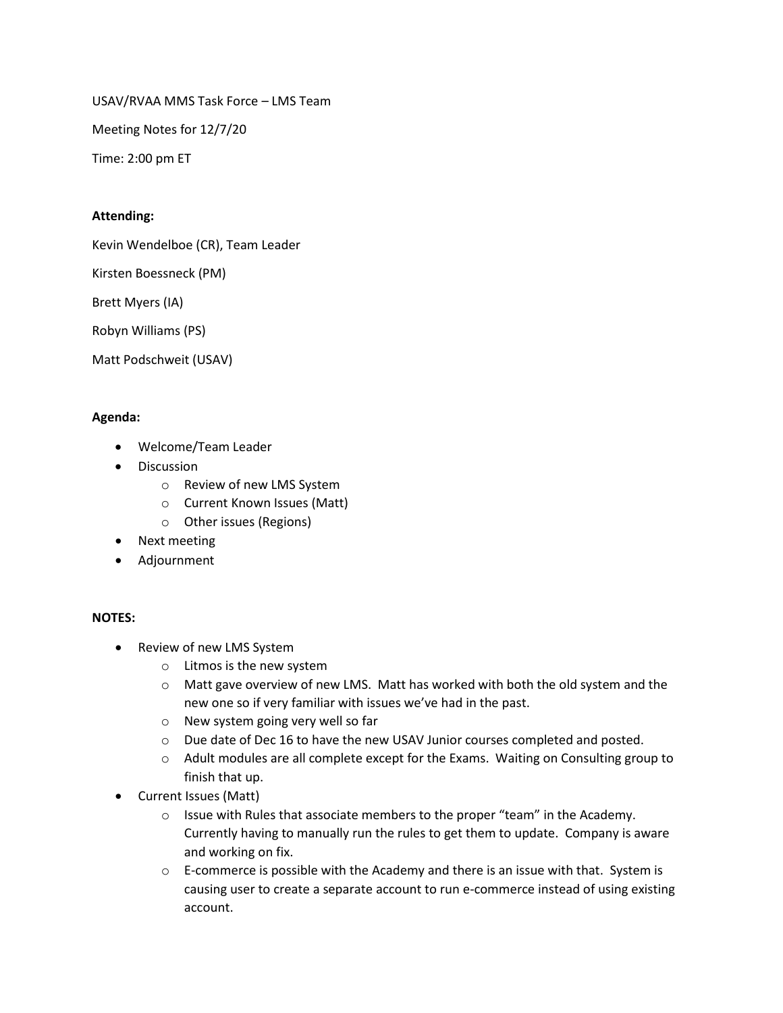USAV/RVAA MMS Task Force – LMS Team

Meeting Notes for 12/7/20

Time: 2:00 pm ET

## **Attending:**

Kevin Wendelboe (CR), Team Leader

Kirsten Boessneck (PM)

Brett Myers (IA)

Robyn Williams (PS)

Matt Podschweit (USAV)

## **Agenda:**

- Welcome/Team Leader
- Discussion
	- o Review of new LMS System
	- o Current Known Issues (Matt)
	- o Other issues (Regions)
- Next meeting
- Adjournment

## **NOTES:**

- Review of new LMS System
	- o Litmos is the new system
	- $\circ$  Matt gave overview of new LMS. Matt has worked with both the old system and the new one so if very familiar with issues we've had in the past.
	- o New system going very well so far
	- o Due date of Dec 16 to have the new USAV Junior courses completed and posted.
	- o Adult modules are all complete except for the Exams. Waiting on Consulting group to finish that up.
- Current Issues (Matt)
	- o Issue with Rules that associate members to the proper "team" in the Academy. Currently having to manually run the rules to get them to update. Company is aware and working on fix.
	- $\circ$  E-commerce is possible with the Academy and there is an issue with that. System is causing user to create a separate account to run e-commerce instead of using existing account.